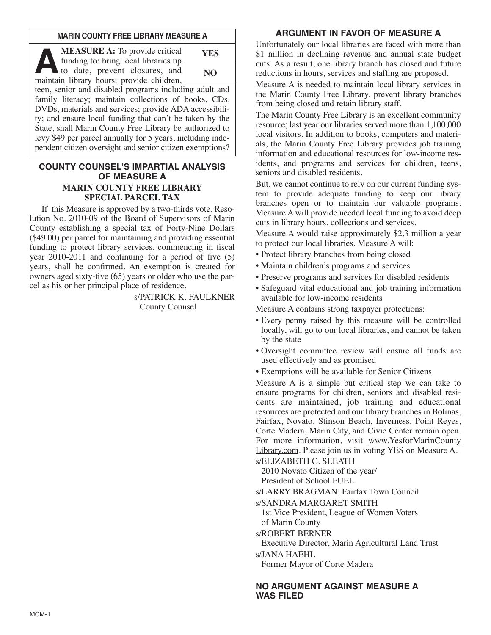### **MARIN COUNTY FREE LIBRARY MEASURE A**

**A MEASURE A:** To provide critical funding to: bring local libraries up to date, prevent closures, and maintain library hours: provide children funding to: bring local libraries up maintain library hours; provide children,



teen, senior and disabled programs including adult and family literacy; maintain collections of books, CDs, DVDs, materials and services; provide ADA accessibility; and ensure local funding that can't be taken by the State, shall Marin County Free Library be authorized to levy \$49 per parcel annually for 5 years, including independent citizen oversight and senior citizen exemptions?

### **COUNTY COUNSEL'S IMPARTIAL ANALYSIS OF MEASURE A MARIN COUNTY FREE LIBRARY SPECIAL PARCEL TAX**

If this Measure is approved by a two-thirds vote, Resolution No. 2010-09 of the Board of Supervisors of Marin County establishing a special tax of Forty-Nine Dollars (\$49.00) per parcel for maintaining and providing essential funding to protect library services, commencing in fiscal year 2010-2011 and continuing for a period of five (5) years, shall be confirmed. An exemption is created for owners aged sixty-five (65) years or older who use the parcel as his or her principal place of residence.

> s/PATRICK K. FAULKNER County Counsel

# **ARGUMENT IN FAVOR OF MEASURE A**

Unfortunately our local libraries are faced with more than \$1 million in declining revenue and annual state budget cuts. As a result, one library branch has closed and future reductions in hours, services and staffing are proposed.

Measure A is needed to maintain local library services in the Marin County Free Library, prevent library branches from being closed and retain library staff.

The Marin County Free Library is an excellent community resource; last year our libraries served more than 1,100,000 local visitors. In addition to books, computers and materials, the Marin County Free Library provides job training information and educational resources for low-income residents, and programs and services for children, teens, seniors and disabled residents.

But, we cannot continue to rely on our current funding system to provide adequate funding to keep our library branches open or to maintain our valuable programs. Measure A will provide needed local funding to avoid deep cuts in library hours, collections and services.

Measure A would raise approximately \$2.3 million a year to protect our local libraries. Measure A will:

- Protect library branches from being closed
- Maintain children's programs and services
- Preserve programs and services for disabled residents
- Safeguard vital educational and job training information available for low-income residents

Measure A contains strong taxpayer protections:

- Every penny raised by this measure will be controlled locally, will go to our local libraries, and cannot be taken by the state
- Oversight committee review will ensure all funds are used effectively and as promised
- Exemptions will be available for Senior Citizens

Measure A is a simple but critical step we can take to ensure programs for children, seniors and disabled residents are maintained, job training and educational resources are protected and our library branches in Bolinas, Fairfax, Novato, Stinson Beach, Inverness, Point Reyes, Corte Madera, Marin City, and Civic Center remain open. For more information, visit www.YesforMarinCounty Library.com. Please join us in voting YES on Measure A. s/ELIZABETH C. SLEATH

2010 Novato Citizen of the year/ President of School FUEL

s/LARRY BRAGMAN, Fairfax Town Council

s/SANDRA MARGARET SMITH

1st Vice President, League of Women Voters of Marin County

s/ROBERT BERNER

Executive Director, Marin Agricultural Land Trust

s/JANA HAEHL

Former Mayor of Corte Madera

## **NO ARGUMENT AGAINST MEASURE A WAS FILED**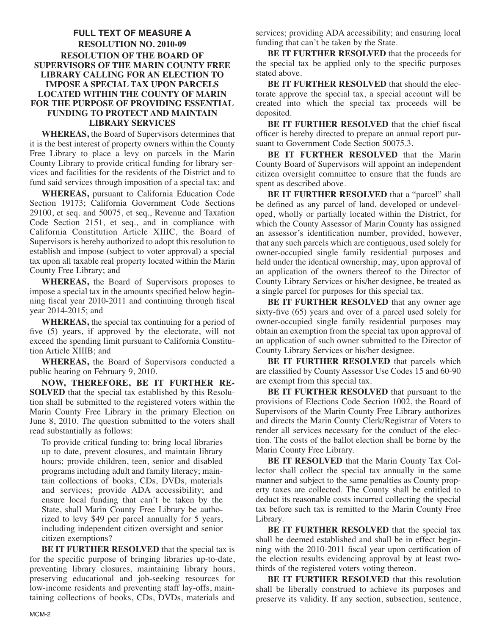## **FULL TEXT OF MEASURE A RESOLUTION NO. 2010-09 RESOLUTION OF THE BOARD OF SUPERVISORS OF THE MARIN COUNTY FREE LIBRARY CALLING FOR AN ELECTION TO IMPOSE A SPECIAL TAX UPON PARCELS LOCATED WITHIN THE COUNTY OF MARIN FOR THE PURPOSE OF PROVIDING ESSENTIAL FUNDING TO PROTECT AND MAINTAIN LIBRARY SERVICES**

**WHEREAS,** the Board of Supervisors determines that it is the best interest of property owners within the County Free Library to place a levy on parcels in the Marin County Library to provide critical funding for library services and facilities for the residents of the District and to fund said services through imposition of a special tax; and

**WHEREAS,** pursuant to California Education Code Section 19173; California Government Code Sections 29100, et seq. and 50075, et seq., Revenue and Taxation Code Section 2151, et seq., and in compliance with California Constitution Article XIIIC, the Board of Supervisors is hereby authorized to adopt this resolution to establish and impose (subject to voter approval) a special tax upon all taxable real property located within the Marin County Free Library; and

**WHEREAS,** the Board of Supervisors proposes to impose a special tax in the amounts specified below beginning fiscal year 2010-2011 and continuing through fiscal year 2014-2015; and

**WHEREAS,** the special tax continuing for a period of five (5) years, if approved by the electorate, will not exceed the spending limit pursuant to California Constitution Article XIIIB; and

**WHEREAS,** the Board of Supervisors conducted a public hearing on February 9, 2010.

**NOW, THEREFORE, BE IT FURTHER RE - SOLVED** that the special tax established by this Resolution shall be submitted to the registered voters within the Marin County Free Library in the primary Election on June 8, 2010. The question submitted to the voters shall read substantially as follows:

To provide critical funding to: bring local libraries up to date, prevent closures, and maintain library hours; provide children, teen, senior and disabled programs including adult and family literacy; maintain collections of books, CDs, DVDs, materials and services; provide ADA accessibility; and ensure local funding that can't be taken by the State, shall Marin County Free Library be authorized to levy \$49 per parcel annually for 5 years, including independent citizen oversight and senior citizen exemptions?

**BE IT FURTHER RESOLVED** that the special tax is for the specific purpose of bringing libraries up-to-date, preventing library closures, maintaining library hours, preserving educational and job-seeking resources for low-income residents and preventing staff lay-offs, maintaining collections of books, CDs, DVDs, materials and services; providing ADA accessibility; and ensuring local funding that can't be taken by the State.

**BE IT FURTHER RESOLVED** that the proceeds for the special tax be applied only to the specific purposes stated above.

**BE IT FURTHER RESOLVED** that should the electorate approve the special tax, a special account will be created into which the special tax proceeds will be deposited.

**BE IT FURTHER RESOLVED** that the chief fiscal officer is hereby directed to prepare an annual report pursuant to Government Code Section 50075.3.

**BE IT FURTHER RESOLVED** that the Marin County Board of Supervisors will appoint an independent citizen oversight committee to ensure that the funds are spent as described above.

**BE IT FURTHER RESOLVED** that a "parcel" shall be defined as any parcel of land, developed or undeveloped, wholly or partially located within the District, for which the County Assessor of Marin County has assigned an assessor's identification number, provided, however, that any such parcels which are contiguous, used solely for owner-occupied single family residential purposes and held under the identical ownership, may, upon approval of an application of the owners thereof to the Director of County Library Services or his/her designee, be treated as a single parcel for purposes for this special tax.

**BE IT FURTHER RESOLVED** that any owner age sixty-five (65) years and over of a parcel used solely for owner-occupied single family residential purposes may obtain an exemption from the special tax upon approval of an application of such owner submitted to the Director of County Library Services or his/her designee.

**BE IT FURTHER RESOLVED** that parcels which are classified by County Assessor Use Codes 15 and 60-90 are exempt from this special tax.

**BE IT FURTHER RESOLVED** that pursuant to the provisions of Elections Code Section 1002, the Board of Supervisors of the Marin County Free Library authorizes and directs the Marin County Clerk/Registrar of Voters to render all services necessary for the conduct of the election. The costs of the ballot election shall be borne by the Marin County Free Library.

**BE IT RESOLVED** that the Marin County Tax Collector shall collect the special tax annually in the same manner and subject to the same penalties as County property taxes are collected. The County shall be entitled to deduct its reasonable costs incurred collecting the special tax before such tax is remitted to the Marin County Free Library.

**BE IT FURTHER RESOLVED** that the special tax shall be deemed established and shall be in effect beginning with the 2010-2011 fiscal year upon certification of the election results evidencing approval by at least twothirds of the registered voters voting thereon.

**BE IT FURTHER RESOLVED** that this resolution shall be liberally construed to achieve its purposes and preserve its validity. If any section, subsection, sentence,